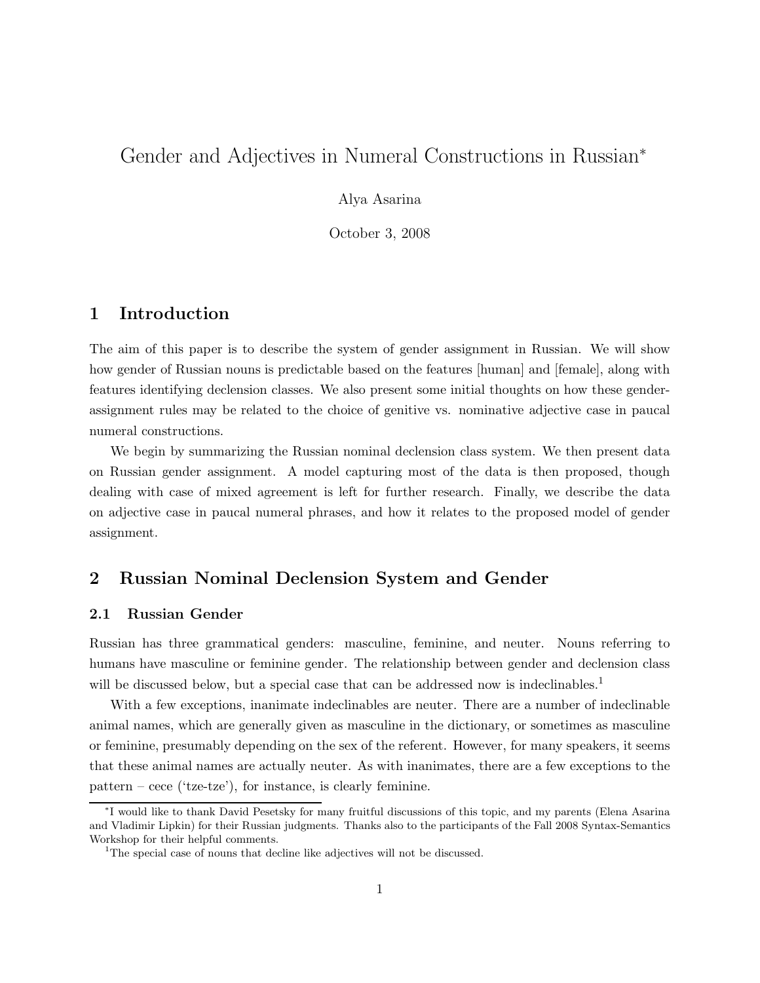# Gender and Adjectives in Numeral Constructions in Russian<sup>∗</sup>

Alya Asarina

October 3, 2008

## 1 Introduction

The aim of this paper is to describe the system of gender assignment in Russian. We will show how gender of Russian nouns is predictable based on the features [human] and [female], along with features identifying declension classes. We also present some initial thoughts on how these genderassignment rules may be related to the choice of genitive vs. nominative adjective case in paucal numeral constructions.

We begin by summarizing the Russian nominal declension class system. We then present data on Russian gender assignment. A model capturing most of the data is then proposed, though dealing with case of mixed agreement is left for further research. Finally, we describe the data on adjective case in paucal numeral phrases, and how it relates to the proposed model of gender assignment.

## 2 Russian Nominal Declension System and Gender

### 2.1 Russian Gender

Russian has three grammatical genders: masculine, feminine, and neuter. Nouns referring to humans have masculine or feminine gender. The relationship between gender and declension class will be discussed below, but a special case that can be addressed now is indeclinables.<sup>1</sup>

With a few exceptions, inanimate indeclinables are neuter. There are a number of indeclinable animal names, which are generally given as masculine in the dictionary, or sometimes as masculine or feminine, presumably depending on the sex of the referent. However, for many speakers, it seems that these animal names are actually neuter. As with inanimates, there are a few exceptions to the  $pattern - cece (tze-tze'),$  for instance, is clearly feminine.

<sup>∗</sup> I would like to thank David Pesetsky for many fruitful discussions of this topic, and my parents (Elena Asarina and Vladimir Lipkin) for their Russian judgments. Thanks also to the participants of the Fall 2008 Syntax-Semantics Workshop for their helpful comments.

<sup>&</sup>lt;sup>1</sup>The special case of nouns that decline like adjectives will not be discussed.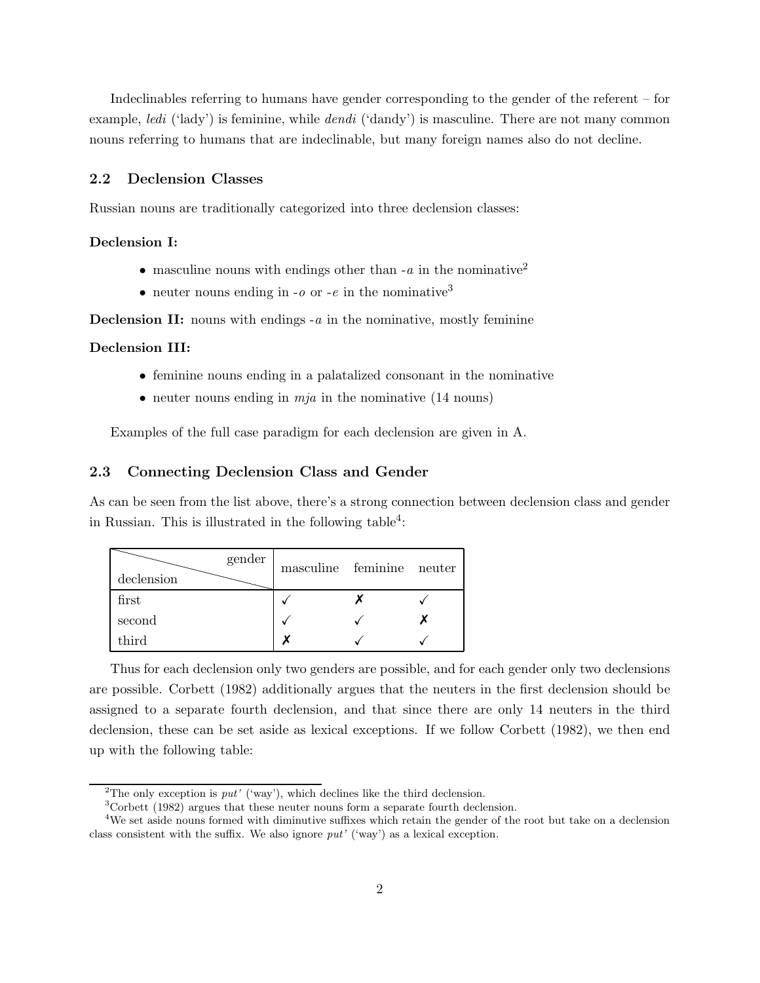Indeclinables referring to humans have gender corresponding to the gender of the referent – for example, *ledi* ('lady') is feminine, while *dendi* ('dandy') is masculine. There are not many common nouns referring to humans that are indeclinable, but many foreign names also do not decline.

#### 2.2 Declension Classes

Russian nouns are traditionally categorized into three declension classes:

#### Declension I:

- masculine nouns with endings other than  $-a$  in the nominative<sup>2</sup>
- neuter nouns ending in  $-o$  or  $-e$  in the nominative<sup>3</sup>

**Declension II:** nouns with endings  $-a$  in the nominative, mostly feminine

#### Declension III:

- feminine nouns ending in a palatalized consonant in the nominative
- neuter nouns ending in  $mja$  in the nominative (14 nouns)

Examples of the full case paradigm for each declension are given in A.

#### 2.3 Connecting Declension Class and Gender

As can be seen from the list above, there's a strong connection between declension class and gender in Russian. This is illustrated in the following table<sup>4</sup>:

| gender<br>declension | masculine feminine neuter |  |
|----------------------|---------------------------|--|
| first                |                           |  |
| second               |                           |  |
| third                |                           |  |

Thus for each declension only two genders are possible, and for each gender only two declensions are possible. Corbett (1982) additionally argues that the neuters in the first declension should be assigned to a separate fourth declension, and that since there are only 14 neuters in the third declension, these can be set aside as lexical exceptions. If we follow Corbett (1982), we then end up with the following table:

<sup>&</sup>lt;sup>2</sup>The only exception is  $put'$  ('way'), which declines like the third declension.

<sup>3</sup>Corbett (1982) argues that these neuter nouns form a separate fourth declension.

<sup>&</sup>lt;sup>4</sup>We set aside nouns formed with diminutive suffixes which retain the gender of the root but take on a declension class consistent with the suffix. We also ignore put' ('way') as a lexical exception.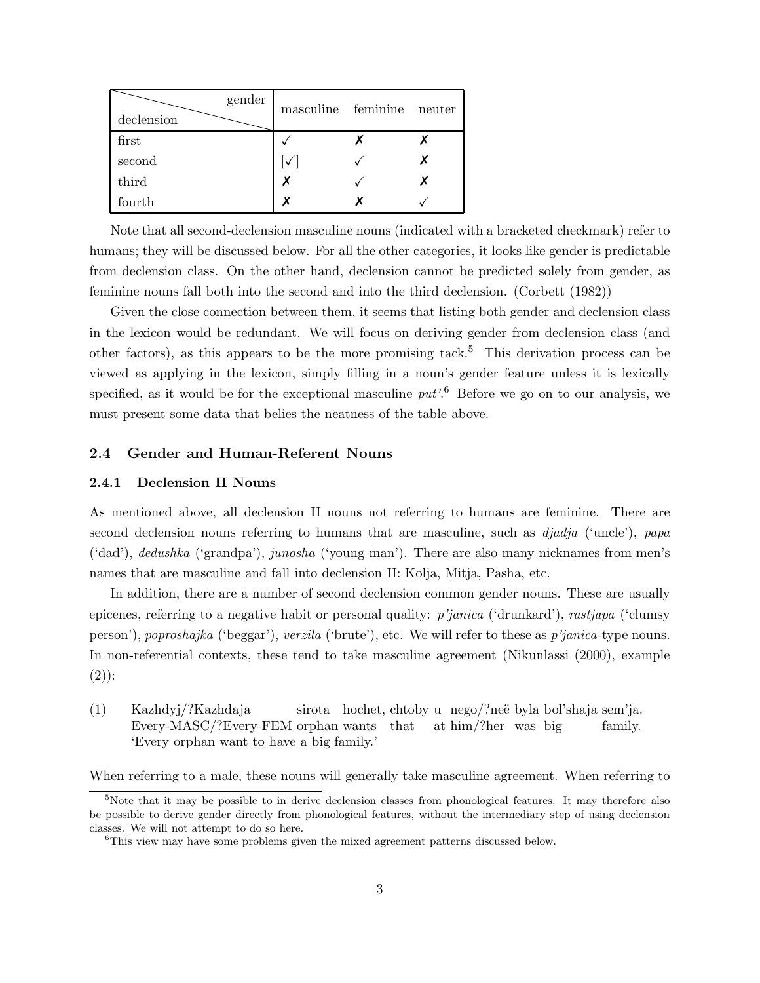| gender<br>declension | masculine feminine | neuter |
|----------------------|--------------------|--------|
| first                |                    |        |
| second               | $\checkmark$       |        |
| third                | x                  |        |
| fourth               | v                  |        |

Note that all second-declension masculine nouns (indicated with a bracketed checkmark) refer to humans; they will be discussed below. For all the other categories, it looks like gender is predictable from declension class. On the other hand, declension cannot be predicted solely from gender, as feminine nouns fall both into the second and into the third declension. (Corbett (1982))

Given the close connection between them, it seems that listing both gender and declension class in the lexicon would be redundant. We will focus on deriving gender from declension class (and other factors), as this appears to be the more promising tack. <sup>5</sup> This derivation process can be viewed as applying in the lexicon, simply filling in a noun's gender feature unless it is lexically specified, as it would be for the exceptional masculine  $put$ <sup> $6$ </sup> Before we go on to our analysis, we must present some data that belies the neatness of the table above.

#### 2.4 Gender and Human-Referent Nouns

#### 2.4.1 Declension II Nouns

As mentioned above, all declension II nouns not referring to humans are feminine. There are second declension nouns referring to humans that are masculine, such as  $djadia$  ('uncle'), papa ('dad'), dedushka ('grandpa'), junosha ('young man'). There are also many nicknames from men's names that are masculine and fall into declension II: Kolja, Mitja, Pasha, etc.

In addition, there are a number of second declension common gender nouns. These are usually epicenes, referring to a negative habit or personal quality: p'janica ('drunkard'), rastjapa ('clumsy person'), poproshajka ('beggar'), verzila ('brute'), etc. We will refer to these as p'janica-type nouns. In non-referential contexts, these tend to take masculine agreement (Nikunlassi (2000), example  $(2)$ :

(1) Kazhdyj/?Kazhdaja Every-MASC/?Every-FEM orphan wants that sirota hochet, chtoby u nego/?neë byla bol'shaja sem'ja. at him/?her was big family. 'Every orphan want to have a big family.'

When referring to a male, these nouns will generally take masculine agreement. When referring to

 $5$ Note that it may be possible to in derive declension classes from phonological features. It may therefore also be possible to derive gender directly from phonological features, without the intermediary step of using declension classes. We will not attempt to do so here.

<sup>&</sup>lt;sup>6</sup>This view may have some problems given the mixed agreement patterns discussed below.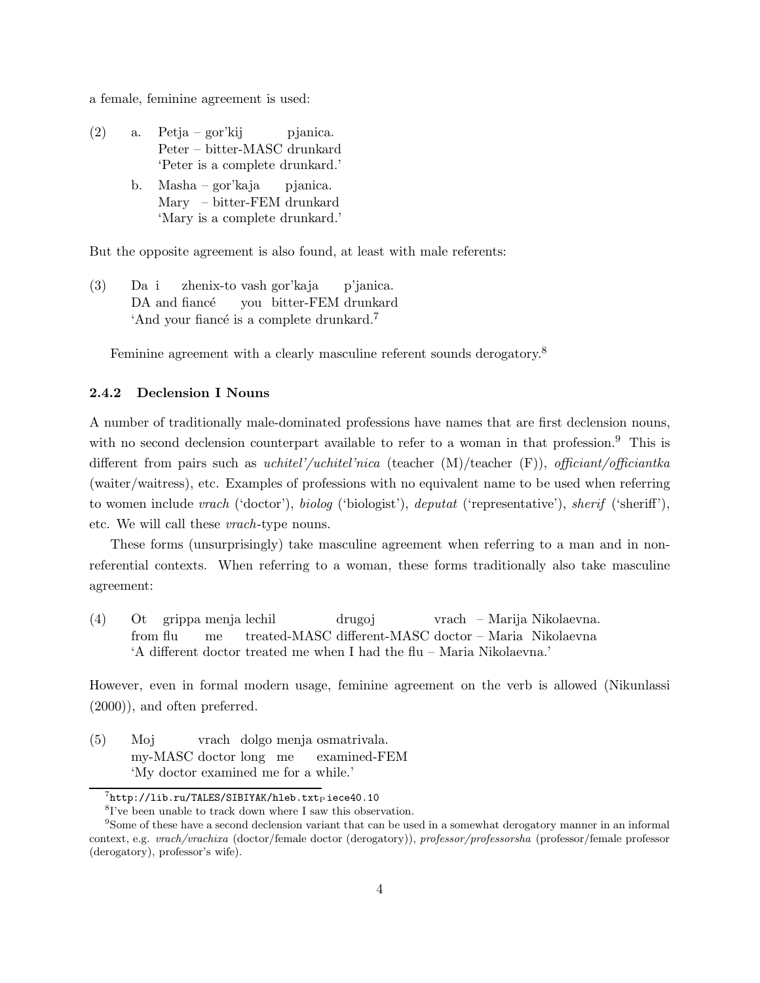a female, feminine agreement is used:

- (2) a. Petja gor'kij Peter – bitter-MASC drunkard pjanica. 'Peter is a complete drunkard.'
	- b. Masha gor'kaja Mary – bitter-FEM drunkard pjanica. 'Mary is a complete drunkard.'

But the opposite agreement is also found, at least with male referents:

 $(3)$ DA and fiance Da i zhenix-to vash gor'kaja you bitter-FEM drunkard p'janica. 'And your fiance's is a complete drunkard.<sup>7</sup>

Feminine agreement with a clearly masculine referent sounds derogatory.<sup>8</sup>

#### 2.4.2 Declension I Nouns

A number of traditionally male-dominated professions have names that are first declension nouns, with no second declension counterpart available to refer to a woman in that profession.<sup>9</sup> This is different from pairs such as uchitel'/uchitel'nica (teacher (M)/teacher (F)), officiant/officiantka (waiter/waitress), etc. Examples of professions with no equivalent name to be used when referring to women include vrach ('doctor'), biolog ('biologist'), deputat ('representative'), sherif ('sheriff'), etc. We will call these vrach-type nouns.

These forms (unsurprisingly) take masculine agreement when referring to a man and in nonreferential contexts. When referring to a woman, these forms traditionally also take masculine agreement:

 $(4)$ from flu grippa menja lechil me treated-MASC different-MASC doctor – Maria Nikolaevna drugoj vrach – Marija Nikolaevna. 'A different doctor treated me when I had the flu – Maria Nikolaevna.'

However, even in formal modern usage, feminine agreement on the verb is allowed (Nikunlassi (2000)), and often preferred.

(5) Moj my-MASC doctor long me vrach dolgo menja osmatrivala. examined-FEM 'My doctor examined me for a while.'

 $^{7}$ http://lib.ru/TALES/SIBIYAK/hleb.txtpiece40.10

<sup>8</sup> I've been unable to track down where I saw this observation.

<sup>9</sup>Some of these have a second declension variant that can be used in a somewhat derogatory manner in an informal context, e.g. vrach/vrachixa (doctor/female doctor (derogatory)), professor/professorsha (professor/female professor (derogatory), professor's wife).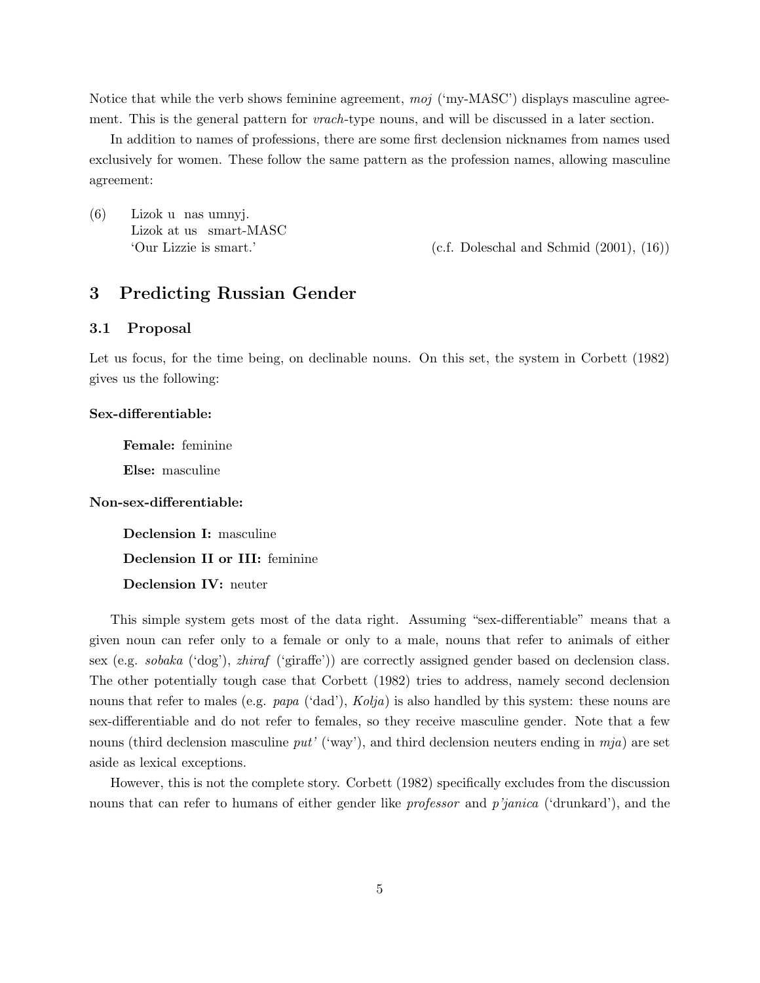Notice that while the verb shows feminine agreement,  $moj$  ('my-MASC') displays masculine agreement. This is the general pattern for *vrach*-type nouns, and will be discussed in a later section.

In addition to names of professions, there are some first declension nicknames from names used exclusively for women. These follow the same pattern as the profession names, allowing masculine agreement:

(6) Lizok u nas umnyj. Lizok at us smart-MASC

'Our Lizzie is smart.' (c.f. Doleschal and Schmid (2001), (16))

## 3 Predicting Russian Gender

#### 3.1 Proposal

Let us focus, for the time being, on declinable nouns. On this set, the system in Corbett (1982) gives us the following:

#### Sex-differentiable:

Female: feminine

Else: masculine

Non-sex-differentiable:

Declension I: masculine Declension II or III: feminine

Declension IV: neuter

This simple system gets most of the data right. Assuming "sex-differentiable" means that a given noun can refer only to a female or only to a male, nouns that refer to animals of either sex (e.g. sobaka ('dog'), zhiraf ('giraffe')) are correctly assigned gender based on declension class. The other potentially tough case that Corbett (1982) tries to address, namely second declension nouns that refer to males (e.g.  $papa$  ('dad'),  $Kolja$ ) is also handled by this system: these nouns are sex-differentiable and do not refer to females, so they receive masculine gender. Note that a few nouns (third declension masculine put' ('way'), and third declension neuters ending in  $mja$ ) are set aside as lexical exceptions.

However, this is not the complete story. Corbett (1982) specifically excludes from the discussion nouns that can refer to humans of either gender like *professor* and *p'janica* ('drunkard'), and the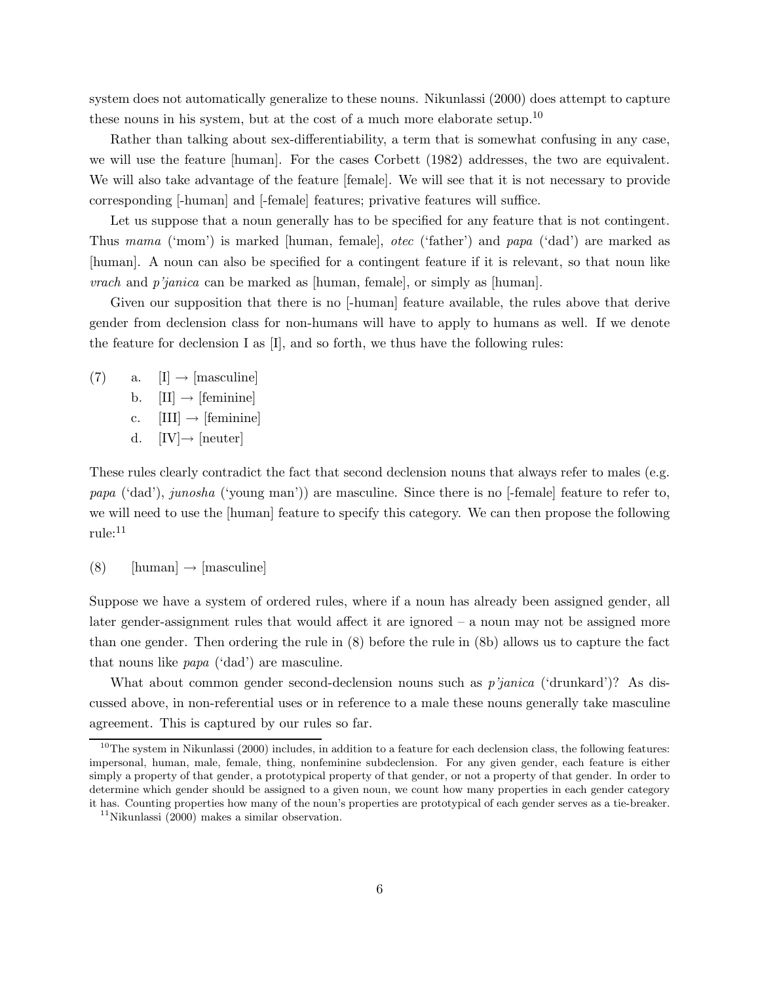system does not automatically generalize to these nouns. Nikunlassi (2000) does attempt to capture these nouns in his system, but at the cost of a much more elaborate setup.<sup>10</sup>

Rather than talking about sex-differentiability, a term that is somewhat confusing in any case, we will use the feature [human]. For the cases Corbett (1982) addresses, the two are equivalent. We will also take advantage of the feature [female]. We will see that it is not necessary to provide corresponding [-human] and [-female] features; privative features will suffice.

Let us suppose that a noun generally has to be specified for any feature that is not contingent. Thus mama ('mom') is marked [human, female], otec ('father') and papa ('dad') are marked as [human]. A noun can also be specified for a contingent feature if it is relevant, so that noun like vrach and p'janica can be marked as [human, female], or simply as [human].

Given our supposition that there is no [-human] feature available, the rules above that derive gender from declension class for non-humans will have to apply to humans as well. If we denote the feature for declension I as  $[I]$ , and so forth, we thus have the following rules:

 $(7)$  a.  $[I] \rightarrow [masculine]$ b.  $[II] \rightarrow [feminine]$ c.  $[III] \rightarrow [feminine]$ d.  $[IV] \rightarrow [neuter]$ 

These rules clearly contradict the fact that second declension nouns that always refer to males (e.g. papa ('dad'), junosha ('young man')) are masculine. Since there is no [-female] feature to refer to, we will need to use the [human] feature to specify this category. We can then propose the following rule:<sup>11</sup>

 $(8)$  [human]  $\rightarrow$  [masculine]

Suppose we have a system of ordered rules, where if a noun has already been assigned gender, all later gender-assignment rules that would affect it are ignored – a noun may not be assigned more than one gender. Then ordering the rule in (8) before the rule in (8b) allows us to capture the fact that nouns like papa ('dad') are masculine.

What about common gender second-declension nouns such as *p'janica* ('drunkard')? As discussed above, in non-referential uses or in reference to a male these nouns generally take masculine agreement. This is captured by our rules so far.

<sup>&</sup>lt;sup>10</sup>The system in Nikunlassi (2000) includes, in addition to a feature for each declension class, the following features: impersonal, human, male, female, thing, nonfeminine subdeclension. For any given gender, each feature is either simply a property of that gender, a prototypical property of that gender, or not a property of that gender. In order to determine which gender should be assigned to a given noun, we count how many properties in each gender category it has. Counting properties how many of the noun's properties are prototypical of each gender serves as a tie-breaker.

 $11$ Nikunlassi (2000) makes a similar observation.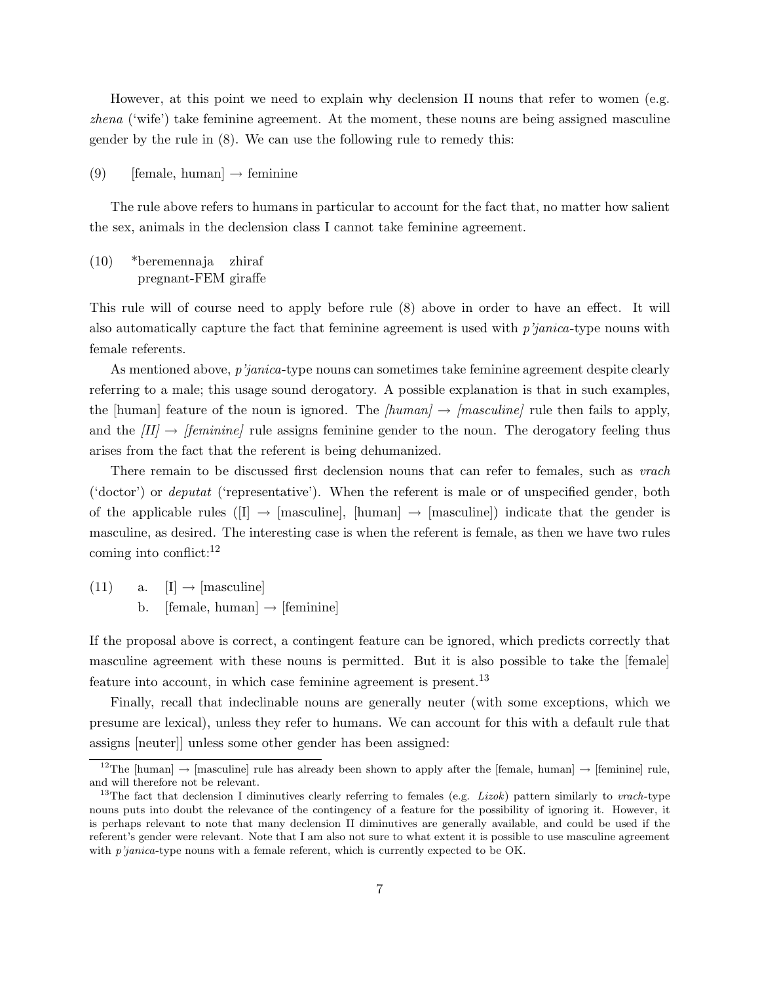However, at this point we need to explain why declension II nouns that refer to women (e.g. zhena ('wife') take feminine agreement. At the moment, these nouns are being assigned masculine gender by the rule in (8). We can use the following rule to remedy this:

(9) [female, human]  $\rightarrow$  feminine

The rule above refers to humans in particular to account for the fact that, no matter how salient the sex, animals in the declension class I cannot take feminine agreement.

(10) \*beremennaja pregnant-FEM giraffe zhiraf

This rule will of course need to apply before rule (8) above in order to have an effect. It will also automatically capture the fact that feminine agreement is used with  $p'janica$ -type nouns with female referents.

As mentioned above, p'janica-type nouns can sometimes take feminine agreement despite clearly referring to a male; this usage sound derogatory. A possible explanation is that in such examples, the [human] feature of the noun is ignored. The *[human]*  $\rightarrow$  *[masculine]* rule then fails to apply, and the  $|II| \rightarrow |feminine|$  rule assigns feminine gender to the noun. The derogatory feeling thus arises from the fact that the referent is being dehumanized.

There remain to be discussed first declension nouns that can refer to females, such as *vrach* ('doctor') or deputat ('representative'). When the referent is male or of unspecified gender, both of the applicable rules ([I]  $\rightarrow$  [masculine], [human]  $\rightarrow$  [masculine]) indicate that the gender is masculine, as desired. The interesting case is when the referent is female, as then we have two rules coming into conflict: $^{12}$ 

(11) a.  $[I] \rightarrow [masculine]$ b. [female, human]  $\rightarrow$  [feminine]

If the proposal above is correct, a contingent feature can be ignored, which predicts correctly that masculine agreement with these nouns is permitted. But it is also possible to take the [female] feature into account, in which case feminine agreement is present.<sup>13</sup>

Finally, recall that indeclinable nouns are generally neuter (with some exceptions, which we presume are lexical), unless they refer to humans. We can account for this with a default rule that assigns [neuter]] unless some other gender has been assigned:

<sup>&</sup>lt;sup>12</sup>The [human]  $\rightarrow$  [masculine] rule has already been shown to apply after the [female, human]  $\rightarrow$  [feminine] rule, and will therefore not be relevant.

<sup>&</sup>lt;sup>13</sup>The fact that declension I diminutives clearly referring to females (e.g. *Lizok*) pattern similarly to *vrach*-type nouns puts into doubt the relevance of the contingency of a feature for the possibility of ignoring it. However, it is perhaps relevant to note that many declension II diminutives are generally available, and could be used if the referent's gender were relevant. Note that I am also not sure to what extent it is possible to use masculine agreement with  $p'$ *janica*-type nouns with a female referent, which is currently expected to be OK.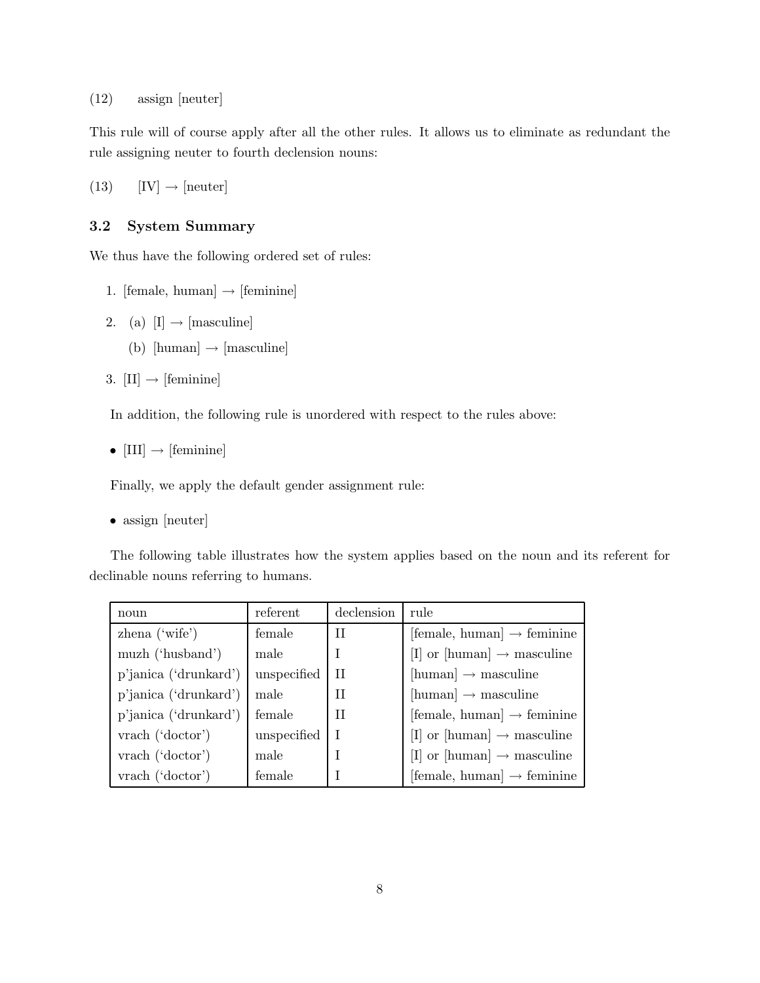(12) assign [neuter]

This rule will of course apply after all the other rules. It allows us to eliminate as redundant the rule assigning neuter to fourth declension nouns:

 $(13)$  [IV]  $\rightarrow$  [neuter]

### 3.2 System Summary

We thus have the following ordered set of rules:

- 1. [female, human]  $\rightarrow$  [feminine]
- 2. (a)  $[I] \rightarrow [masculine]$ 
	- (b) [human]  $\rightarrow$  [masculine]
- 3.  $[II] \rightarrow [feminine]$

In addition, the following rule is unordered with respect to the rules above:

•  $[III] \rightarrow [feminine]$ 

Finally, we apply the default gender assignment rule:

```
• assign [neuter]
```
The following table illustrates how the system applies based on the noun and its referent for declinable nouns referring to humans.

| noun                  | referent    | declension   | rule                                          |
|-----------------------|-------------|--------------|-----------------------------------------------|
| $zhena$ ('wife')      | female      | Н            | $[female, human] \rightarrow familiar$        |
| muzh ('husband')      | male        |              | [I] or [human] $\rightarrow$ masculine        |
| p'janica ('drunkard') | unspecified | $\mathbf{H}$ | $[\text{human}] \rightarrow \text{masculine}$ |
| p'janica ('drunkard') | male        | $_{\rm II}$  | $[\text{human}] \rightarrow \text{masculine}$ |
| p'janica ('drunkard') | female      | Π            | [female, human] $\rightarrow$ feminine        |
| vrach ('doctor')      | unspecified |              | [I] or [human] $\rightarrow$ masculine        |
| vrach ('doctor')      | male        |              | [I] or [human] $\rightarrow$ masculine        |
| vrach ('doctor')      | female      |              | $[female, human] \rightarrow familiar$        |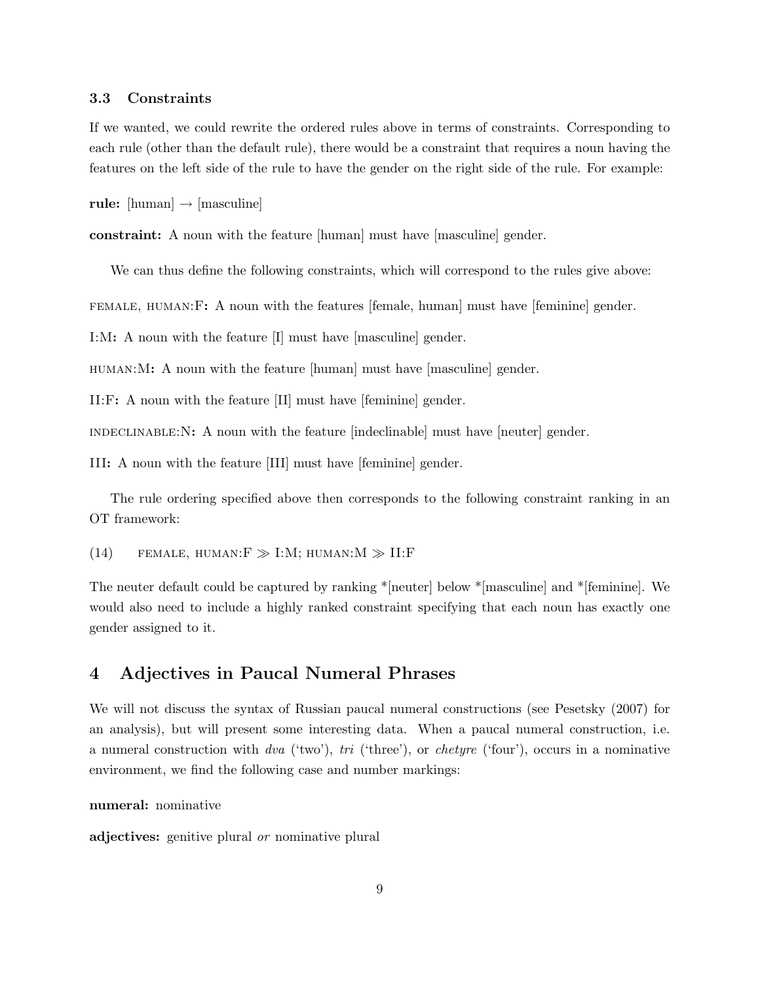#### 3.3 Constraints

If we wanted, we could rewrite the ordered rules above in terms of constraints. Corresponding to each rule (other than the default rule), there would be a constraint that requires a noun having the features on the left side of the rule to have the gender on the right side of the rule. For example:

rule:  $[\text{human}] \rightarrow [\text{masculine}]$ 

constraint: A noun with the feature [human] must have [masculine] gender.

We can thus define the following constraints, which will correspond to the rules give above:

female, human:F: A noun with the features [female, human] must have [feminine] gender.

I:M: A noun with the feature [I] must have [masculine] gender.

human:M: A noun with the feature [human] must have [masculine] gender.

II:F: A noun with the feature [II] must have [feminine] gender.

indeclinable:N: A noun with the feature [indeclinable] must have [neuter] gender.

III: A noun with the feature [III] must have [feminine] gender.

The rule ordering specified above then corresponds to the following constraint ranking in an OT framework:

(14) FEMALE, HUMAN: $F \gg I:M$ ; HUMAN: $M \gg II$ :F

The neuter default could be captured by ranking \*[neuter] below \*[masculine] and \*[feminine]. We would also need to include a highly ranked constraint specifying that each noun has exactly one gender assigned to it.

## 4 Adjectives in Paucal Numeral Phrases

We will not discuss the syntax of Russian paucal numeral constructions (see Pesetsky (2007) for an analysis), but will present some interesting data. When a paucal numeral construction, i.e. a numeral construction with dva ('two'), tri ('three'), or *chetyre* ('four'), occurs in a nominative environment, we find the following case and number markings:

numeral: nominative

adjectives: genitive plural *or* nominative plural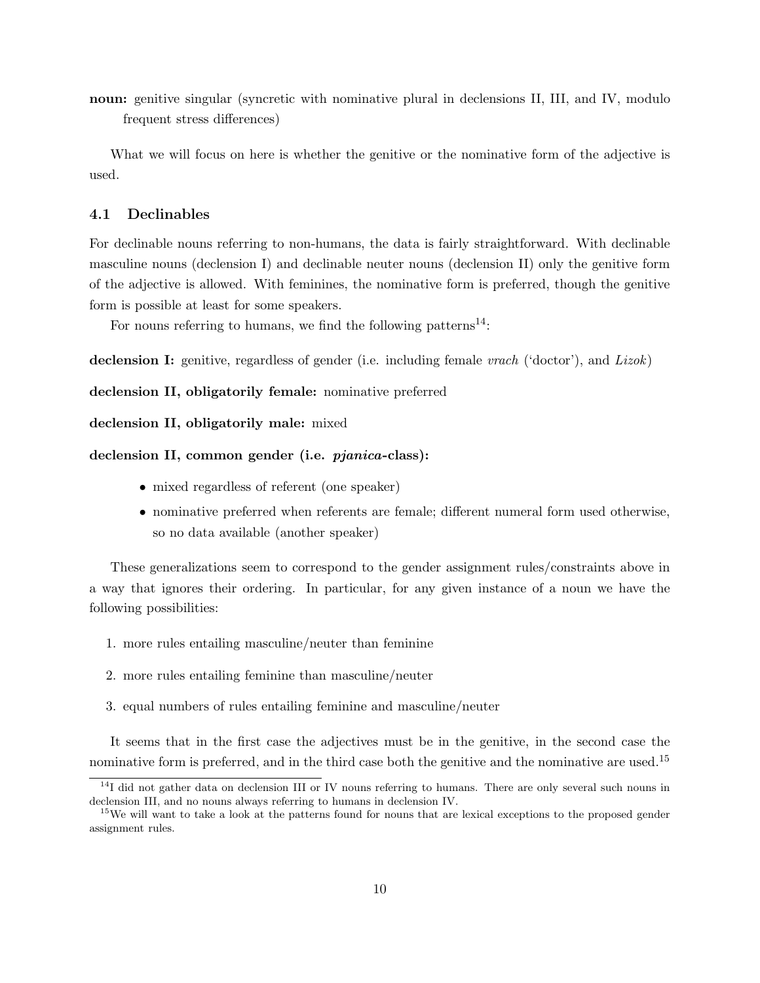noun: genitive singular (syncretic with nominative plural in declensions II, III, and IV, modulo frequent stress differences)

What we will focus on here is whether the genitive or the nominative form of the adjective is used.

### 4.1 Declinables

For declinable nouns referring to non-humans, the data is fairly straightforward. With declinable masculine nouns (declension I) and declinable neuter nouns (declension II) only the genitive form of the adjective is allowed. With feminines, the nominative form is preferred, though the genitive form is possible at least for some speakers.

For nouns referring to humans, we find the following patterns<sup>14</sup>:

declension I: genitive, regardless of gender (i.e. including female *vrach* ('doctor'), and *Lizok*)

declension II, obligatorily female: nominative preferred

```
declension II, obligatorily male: mixed
```
#### declension II, common gender (i.e. *pjanica*-class):

- mixed regardless of referent (one speaker)
- nominative preferred when referents are female; different numeral form used otherwise, so no data available (another speaker)

These generalizations seem to correspond to the gender assignment rules/constraints above in a way that ignores their ordering. In particular, for any given instance of a noun we have the following possibilities:

- 1. more rules entailing masculine/neuter than feminine
- 2. more rules entailing feminine than masculine/neuter
- 3. equal numbers of rules entailing feminine and masculine/neuter

It seems that in the first case the adjectives must be in the genitive, in the second case the nominative form is preferred, and in the third case both the genitive and the nominative are used.<sup>15</sup>

 $14$ I did not gather data on declension III or IV nouns referring to humans. There are only several such nouns in declension III, and no nouns always referring to humans in declension IV.

<sup>&</sup>lt;sup>15</sup>We will want to take a look at the patterns found for nouns that are lexical exceptions to the proposed gender assignment rules.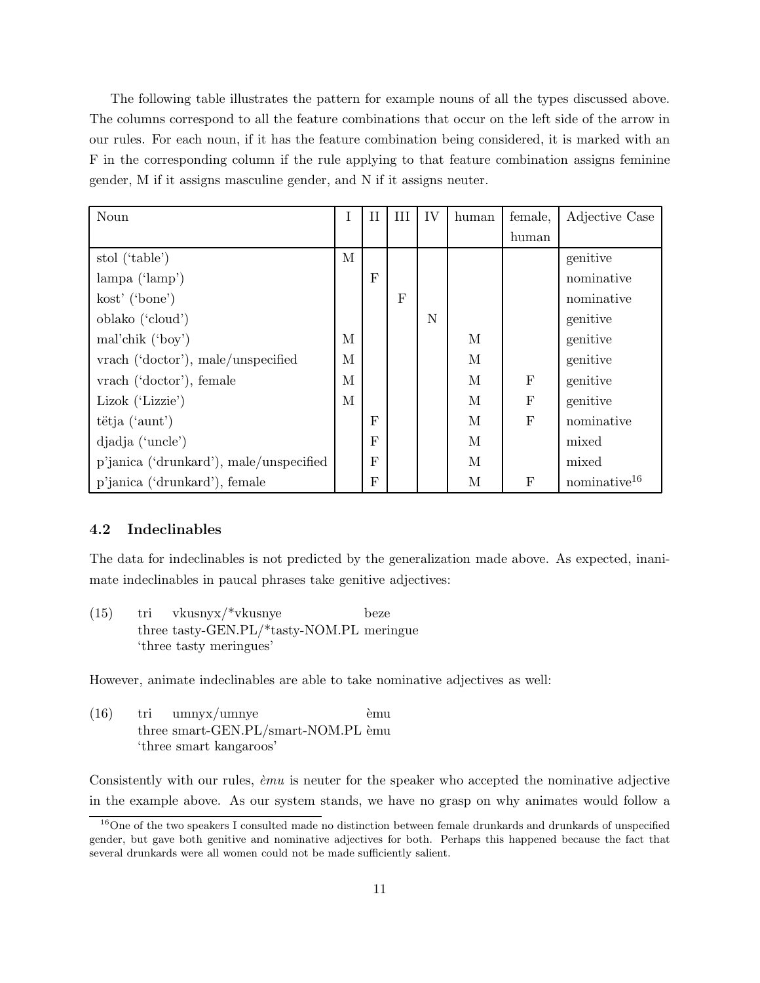The following table illustrates the pattern for example nouns of all the types discussed above. The columns correspond to all the feature combinations that occur on the left side of the arrow in our rules. For each noun, if it has the feature combination being considered, it is marked with an F in the corresponding column if the rule applying to that feature combination assigns feminine gender, M if it assigns masculine gender, and N if it assigns neuter.

| Noun                                    |   | Н            | Ш | IV | human | female,          | Adjective Case           |
|-----------------------------------------|---|--------------|---|----|-------|------------------|--------------------------|
|                                         |   |              |   |    |       | human            |                          |
| stol ('table')                          | М |              |   |    |       |                  | genitive                 |
| $\lambda$ (' $\lambda$ )                |   | $_{\rm F}$   |   |    |       |                  | nominative               |
| kost' ('bone')                          |   |              | F |    |       |                  | nominative               |
| oblako ('cloud')                        |   |              |   | N  |       |                  | genitive                 |
| mal'chik $('boy')$                      | М |              |   |    | М     |                  | genitive                 |
| vrach ('doctor'), male/unspecified      | M |              |   |    | M     |                  | genitive                 |
| vrach ('doctor'), female                | M |              |   |    | M     | $_{\rm F}$       | genitive                 |
| Lizok ('Lizzie')                        | М |              |   |    | М     | $\mathbf{F}$     | genitive                 |
| tëtja ('aunt')                          |   | $_{\rm F}$   |   |    | М     | $\mathbf{F}$     | nominative               |
| djadja ('uncle')                        |   | $\mathbf{F}$ |   |    | M     |                  | mixed                    |
| p'janica ('drunkard'), male/unspecified |   | F            |   |    | М     |                  | mixed                    |
| p'janica ('drunkard'), female           |   | F            |   |    | М     | $\boldsymbol{F}$ | nominative <sup>16</sup> |

### 4.2 Indeclinables

The data for indeclinables is not predicted by the generalization made above. As expected, inanimate indeclinables in paucal phrases take genitive adjectives:

(15) tri three tasty-GEN.PL/\*tasty-NOM.PL meringue vkusnyx/\*vkusnye beze 'three tasty meringues'

However, animate indeclinables are able to take nominative adjectives as well:

 $(16)$  tri three smart-GEN.PL/smart-NOM.PL èmu umnyx/umnye `emu 'three smart kangaroos'

Consistently with our rules,  $\dot{e}mu$  is neuter for the speaker who accepted the nominative adjective in the example above. As our system stands, we have no grasp on why animates would follow a

<sup>&</sup>lt;sup>16</sup>One of the two speakers I consulted made no distinction between female drunkards and drunkards of unspecified gender, but gave both genitive and nominative adjectives for both. Perhaps this happened because the fact that several drunkards were all women could not be made sufficiently salient.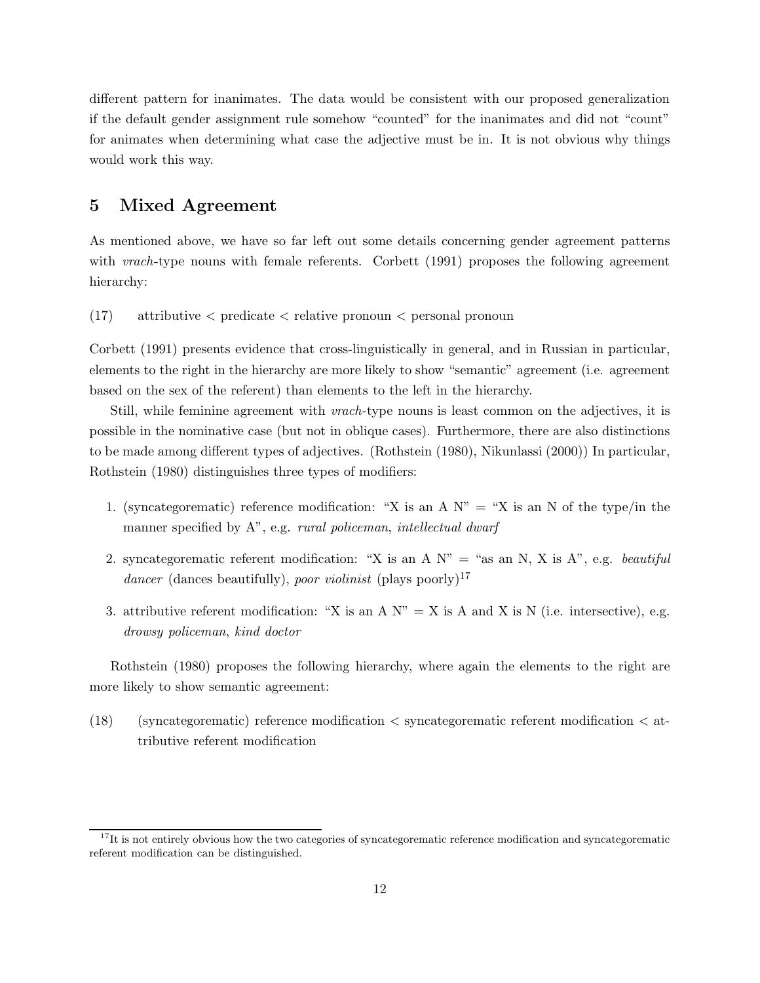different pattern for inanimates. The data would be consistent with our proposed generalization if the default gender assignment rule somehow "counted" for the inanimates and did not "count" for animates when determining what case the adjective must be in. It is not obvious why things would work this way.

## 5 Mixed Agreement

As mentioned above, we have so far left out some details concerning gender agreement patterns with *vrach*-type nouns with female referents. Corbett (1991) proposes the following agreement hierarchy:

(17) attributive < predicate < relative pronoun < personal pronoun

Corbett (1991) presents evidence that cross-linguistically in general, and in Russian in particular, elements to the right in the hierarchy are more likely to show "semantic" agreement (i.e. agreement based on the sex of the referent) than elements to the left in the hierarchy.

Still, while feminine agreement with vrach-type nouns is least common on the adjectives, it is possible in the nominative case (but not in oblique cases). Furthermore, there are also distinctions to be made among different types of adjectives. (Rothstein (1980), Nikunlassi (2000)) In particular, Rothstein (1980) distinguishes three types of modifiers:

- 1. (syncategorematic) reference modification: "X is an A  $N'' = "X$  is an N of the type/in the manner specified by A", e.g. rural policeman, intellectual dwarf
- 2. syncategorematic referent modification: "X is an A  $N$ " = "as an N, X is A", e.g. *beautiful* dancer (dances beautifully), poor violinist (plays poorly)<sup>17</sup>
- 3. attributive referent modification: "X is an A  $N$ " = X is A and X is N (i.e. intersective), e.g. drowsy policeman, kind doctor

Rothstein (1980) proposes the following hierarchy, where again the elements to the right are more likely to show semantic agreement:

(18) (syncategorematic) reference modification  $\lt$  syncategorematic referent modification  $\lt$  attributive referent modification

 $17$ It is not entirely obvious how the two categories of syncategorematic reference modification and syncategorematic referent modification can be distinguished.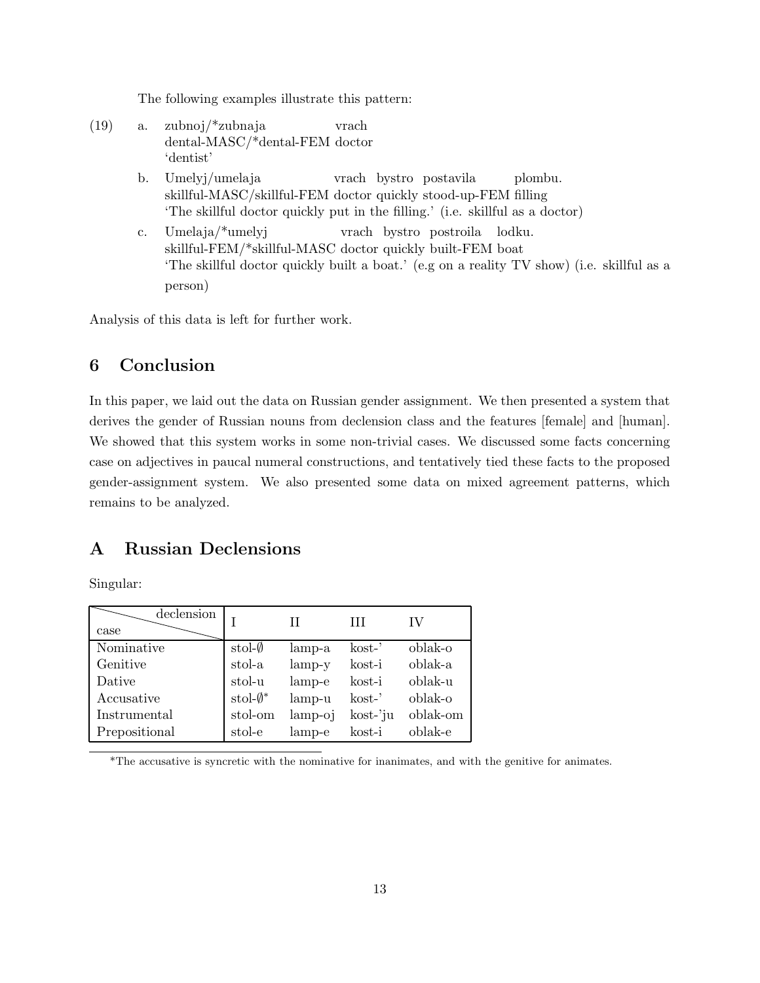The following examples illustrate this pattern:

(19) a. zubnoj/\*zubnaja dental-MASC/\*dental-FEM doctor vrach 'dentist' b. Umelyj/umelaja skillful-MASC/skillful-FEM doctor quickly stood-up-FEM filling vrach bystro postavila plombu. 'The skillful doctor quickly put in the filling.' (i.e. skillful as a doctor) c. Umelaja/\*umelyj skillful-FEM/\*skillful-MASC doctor quickly built-FEM boat vrach bystro postroila lodku. 'The skillful doctor quickly built a boat.' (e.g on a reality TV show) (i.e. skillful as a person)

Analysis of this data is left for further work.

## 6 Conclusion

In this paper, we laid out the data on Russian gender assignment. We then presented a system that derives the gender of Russian nouns from declension class and the features [female] and [human]. We showed that this system works in some non-trivial cases. We discussed some facts concerning case on adjectives in paucal numeral constructions, and tentatively tied these facts to the proposed gender-assignment system. We also presented some data on mixed agreement patterns, which remains to be analyzed.

## A Russian Declensions

Singular:

| declension<br>case |                         | Н         | Ш         | IV       |
|--------------------|-------------------------|-----------|-----------|----------|
| Nominative         | $\text{stol-}\emptyset$ | lamp-a    | $k$ ost-' | oblak-o  |
| Genitive           | stol-a                  | $lamp-y$  | kost-i    | oblak-a  |
| Dative             | stol-u                  | lamp-e    | kost-i    | oblak-u  |
| Accusative         | stol- $\emptyset^*$     | lamp-u    | $k$ ost-' | oblak-o  |
| Instrumental       | stol-om                 | $lamp-oj$ | kost-'ju  | oblak-om |
| Prepositional      | stol-e                  | lamp-e    | kost-i    | oblak-e  |

\*The accusative is syncretic with the nominative for inanimates, and with the genitive for animates.